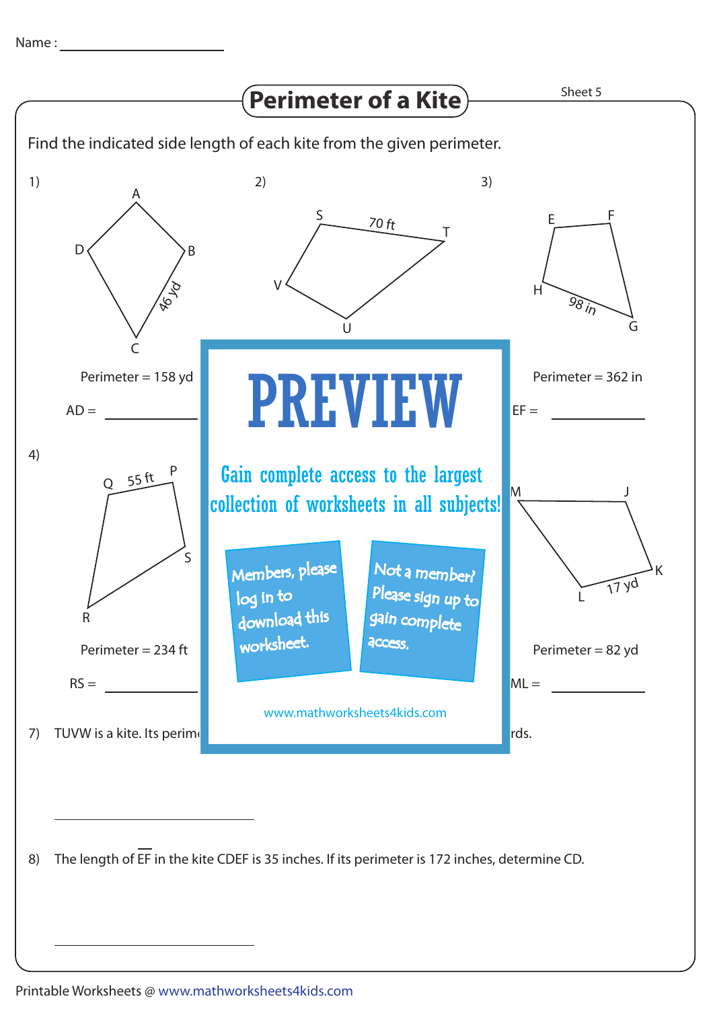